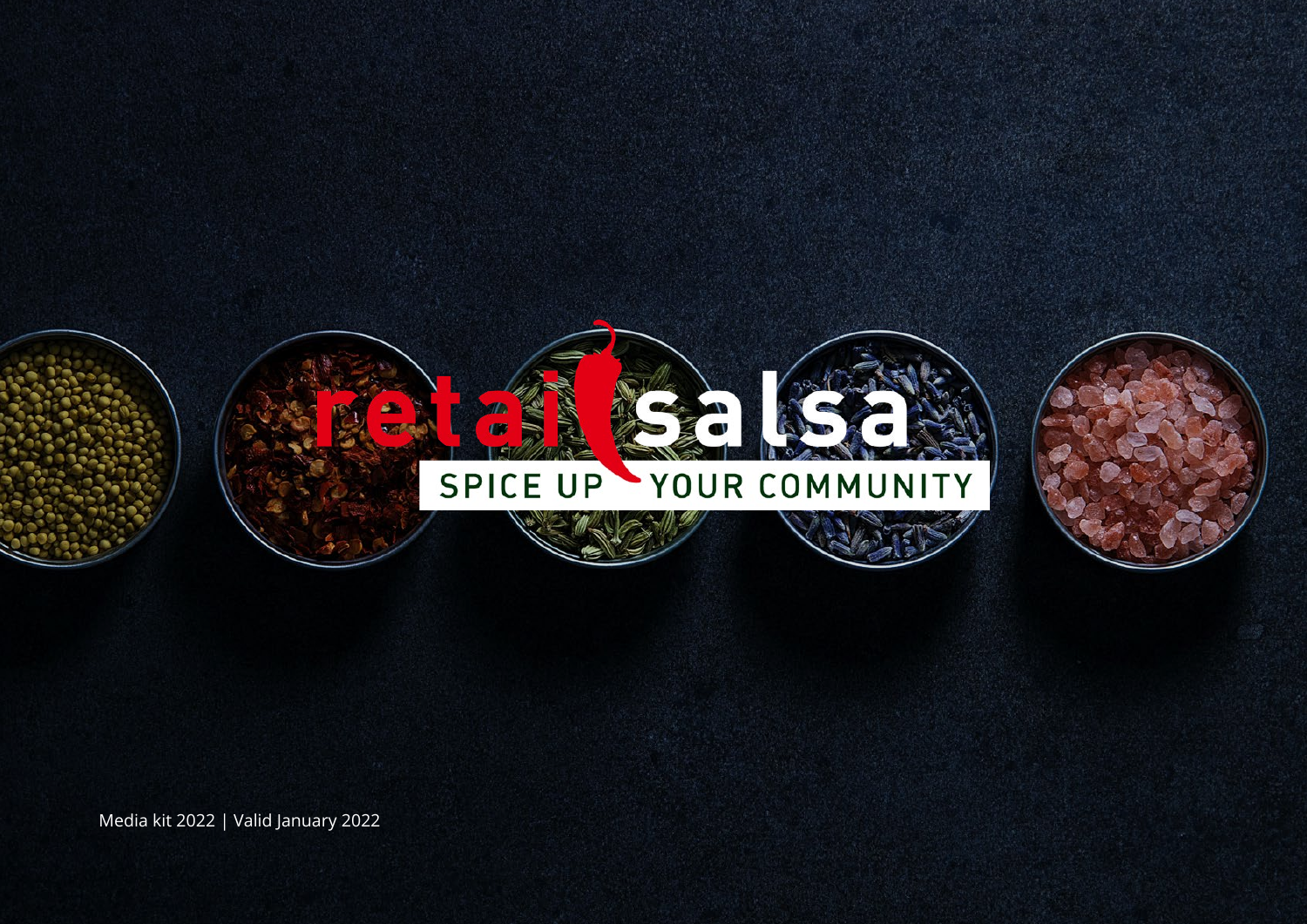

Media kit 2022 | Valid January 2022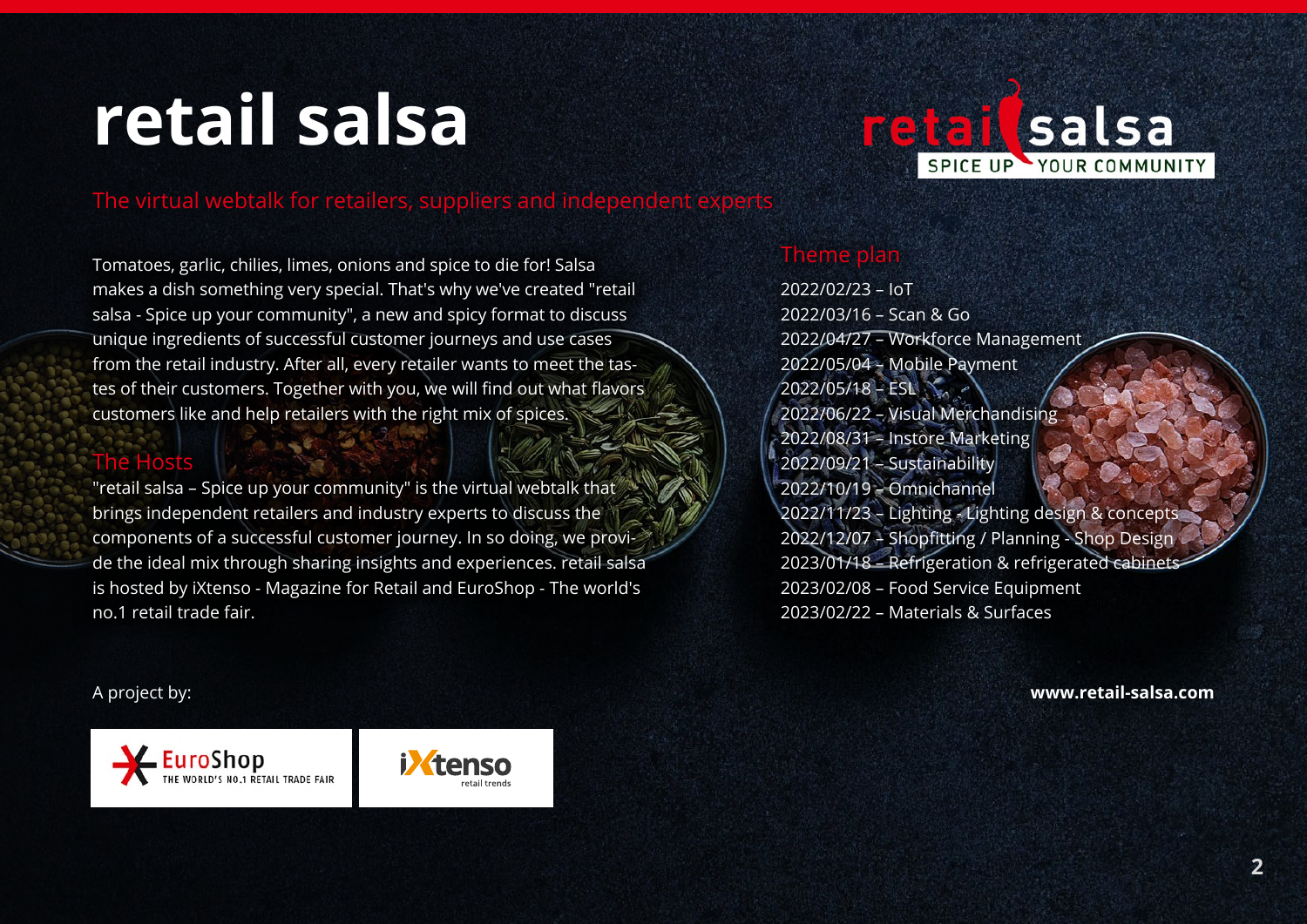# **retail salsa**



### The virtual webtalk for retailers, suppliers and independent experts

Tomatoes, garlic, chilies, limes, onions and spice to die for! Salsa makes a dish something very special. That's why we've created "retail salsa - Spice up your community", a new and spicy format to discuss unique ingredients of successful customer journeys and use cases from the retail industry. After all, every retailer wants to meet the tastes of their customers. Together with you, we will find out what flavors customers like and help retailers with the right mix of spices.

### The Hosts

"retail salsa – Spice up your community" is the virtual webtalk that brings independent retailers and industry experts to discuss the components of a successful customer journey. In so doing, we provide the ideal mix through sharing insights and experiences. retail salsa is hosted by iXtenso - Magazine for Retail and EuroShop - The world's no.1 retail trade fair.

### Theme plan

2022/02/23 – IoT 2022/03/16 – Scan & Go 2022/04/27 – Workforce Management 2022/05/04 – Mobile Payment  $2022/05/18 - ESL$ 2022/06/22 – Visual Merchandising 2022/08/31 – Instore Marketing 2022/09/21 – Sustainability 2022/10/19 – Omnichannel 2022/11/23 – Lighting - Lighting design & concepts 2022/12/07 – Shopfitting / Planning - Shop Design 2023/01/18 – Refrigeration & refrigerated cabinets 2023/02/08 – Food Service Equipment 2023/02/22 – Materials & Surfaces

A project by:



**[www.retail-salsa.](http://retail-salsa.de)com**

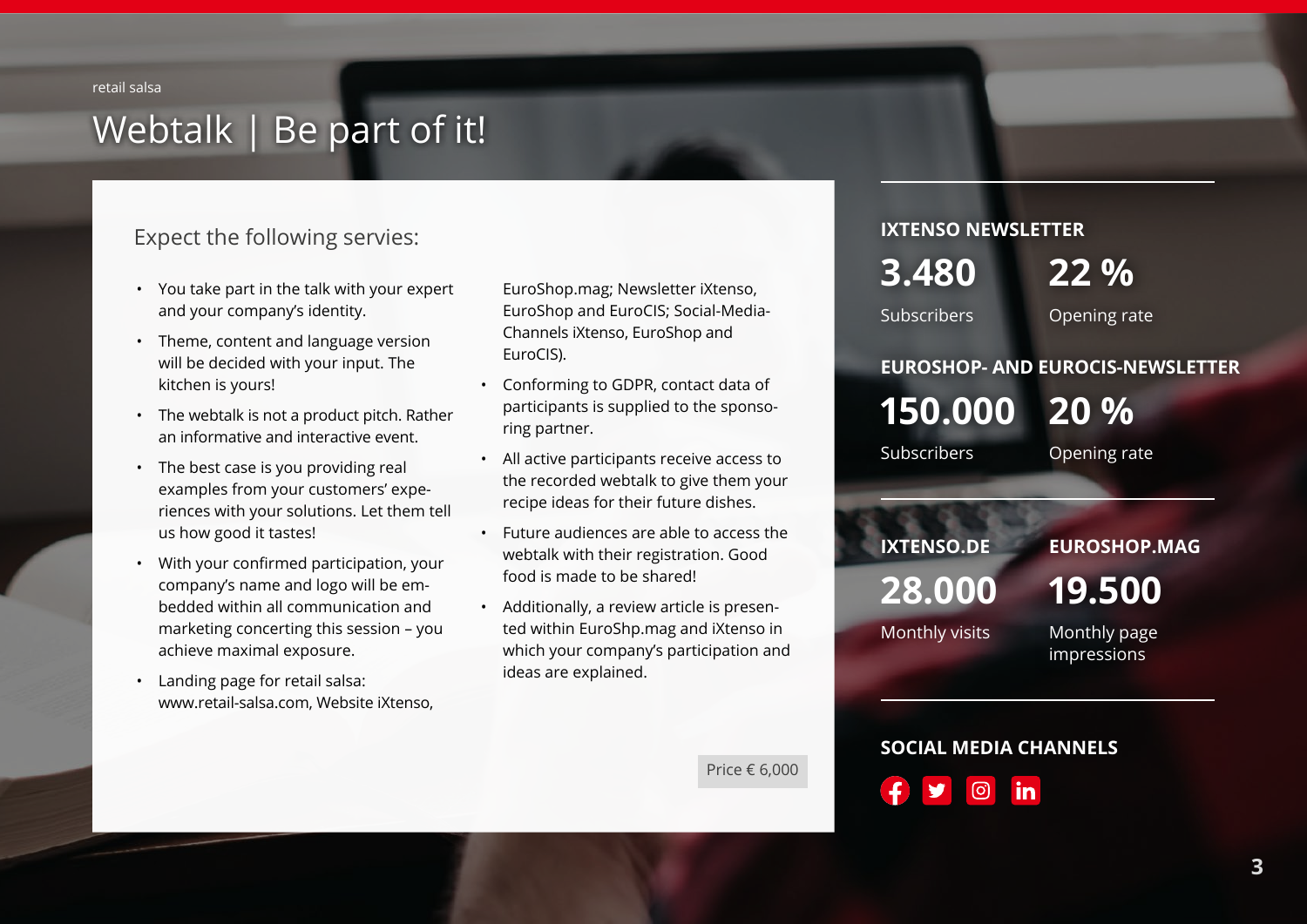retail salsa

### Webtalk | Be part of it!

### Expect the following servies:

- You take part in the talk with your expert and your company's identity.
- Theme, content and language version will be decided with your input. The kitchen is yours!
- The webtalk is not a product pitch. Rather an informative and interactive event.
- The best case is you providing real examples from your customers' experiences with your solutions. Let them tell us how good it tastes!
- With your confirmed participation, your company's name and logo will be embedded within all communication and marketing concerting this session – you achieve maximal exposure.
- Landing page for retail salsa: [www.retail-salsa.](http://retail-salsa.de)com, Website iXtenso,

EuroShop.mag; Newsletter iXtenso, EuroShop and EuroCIS; Social-Media-Channels iXtenso, EuroShop and EuroCIS).

- Conforming to GDPR, contact data of participants is supplied to the sponsoring partner.
- All active participants receive access to the recorded webtalk to give them your recipe ideas for their future dishes.
- Future audiences are able to access the webtalk with their registration. Good food is made to be shared!
- Additionally, a review article is presented within EuroShp.mag and iXtenso in which your company's participation and ideas are explained.

**IXTENSO NEWSLETTER**

**3.480**

**22 %**

Subscribers

Opening rate

### **EUROSHOP- AND EUROCIS-NEWSLETTER**

**150.000 20 %**

Subscribers

Opening rate

### **IXTENSO.DE EUROSHOP.MAG 28.000** Monthly visits **19.500**  Monthly page impressions

Price € 6,000

**SOCIAL MEDIA CHANNELS** ලු in